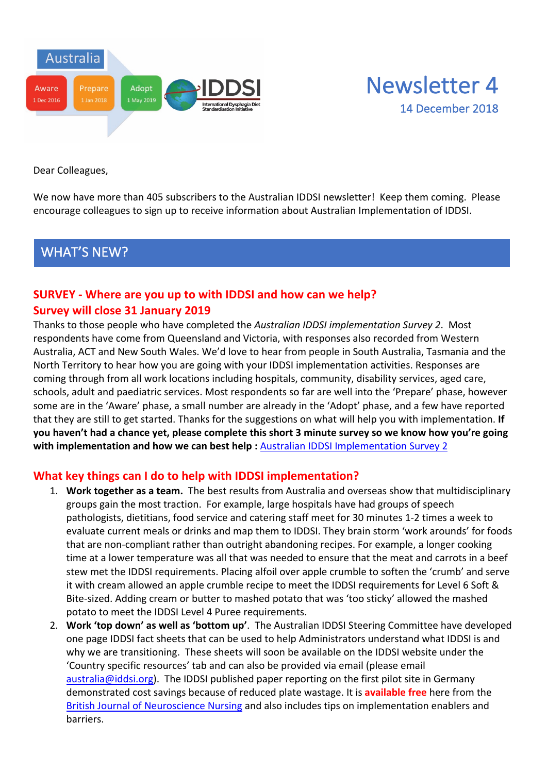



Dear Colleagues,

We now have more than 405 subscribers to the Australian IDDSI newsletter! Keep them coming. Please encourage colleagues to sign up to receive information about Australian Implementation of IDDSI.

### WHAT'S NEW?

#### **SURVEY - Where are you up to with IDDSI and how can we help? Survey will close 31 January 2019**

Thanks to those people who have completed the *Australian IDDSI implementation Survey 2*. Most respondents have come from Queensland and Victoria, with responses also recorded from Western Australia, ACT and New South Wales. We'd love to hear from people in South Australia, Tasmania and the North Territory to hear how you are going with your IDDSI implementation activities. Responses are coming through from all work locations including hospitals, community, disability services, aged care, schools, adult and paediatric services. Most respondents so far are well into the 'Prepare' phase, however some are in the 'Aware' phase, a small number are already in the 'Adopt' phase, and a few have reported that they are still to get started. Thanks for the suggestions on what will help you with implementation. **If you haven't had a chance yet, please complete this short 3 minute survey so we know how you're going with implementation and how we can best help :** Australian IDDSI Implementation Survey 2

#### **What key things can I do to help with IDDSI implementation?**

- 1. **Work together as a team.** The best results from Australia and overseas show that multidisciplinary groups gain the most traction. For example, large hospitals have had groups of speech pathologists, dietitians, food service and catering staff meet for 30 minutes 1-2 times a week to evaluate current meals or drinks and map them to IDDSI. They brain storm 'work arounds' for foods that are non-compliant rather than outright abandoning recipes. For example, a longer cooking time at a lower temperature was all that was needed to ensure that the meat and carrots in a beef stew met the IDDSI requirements. Placing alfoil over apple crumble to soften the 'crumb' and serve it with cream allowed an apple crumble recipe to meet the IDDSI requirements for Level 6 Soft & Bite-sized. Adding cream or butter to mashed potato that was 'too sticky' allowed the mashed potato to meet the IDDSI Level 4 Puree requirements.
- 2. **Work 'top down' as well as 'bottom up'**. The Australian IDDSI Steering Committee have developed one page IDDSI fact sheets that can be used to help Administrators understand what IDDSI is and why we are transitioning. These sheets will soon be available on the IDDSI website under the 'Country specific resources' tab and can also be provided via email (please email australia@iddsi.org). The IDDSI published paper reporting on the first pilot site in Germany demonstrated cost savings because of reduced plate wastage. It is **available free** here from the British Journal of Neuroscience Nursing and also includes tips on implementation enablers and barriers.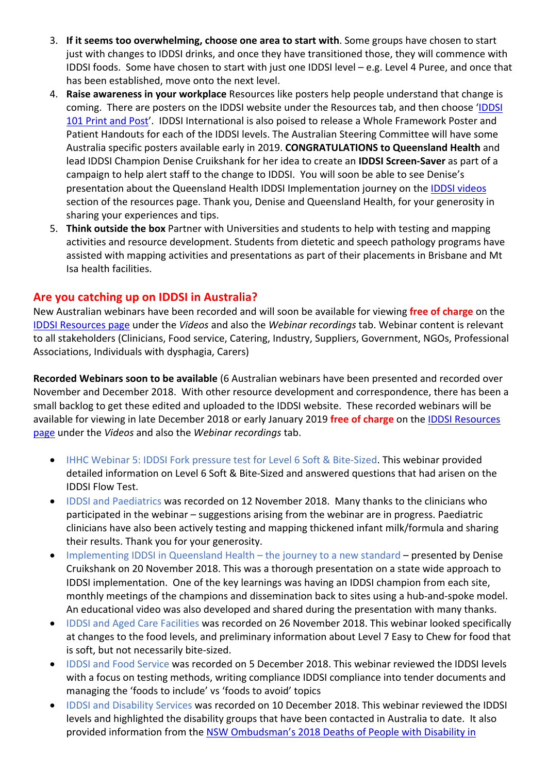- 3. **If it seems too overwhelming, choose one area to start with**. Some groups have chosen to start just with changes to IDDSI drinks, and once they have transitioned those, they will commence with IDDSI foods. Some have chosen to start with just one IDDSI level – e.g. Level 4 Puree, and once that has been established, move onto the next level.
- 4. **Raise awareness in your workplace** Resources like posters help people understand that change is coming. There are posters on the IDDSI website under the Resources tab, and then choose 'IDDSI 101 Print and Post'. IDDSI International is also poised to release a Whole Framework Poster and Patient Handouts for each of the IDDSI levels. The Australian Steering Committee will have some Australia specific posters available early in 2019. **CONGRATULATIONS to Queensland Health** and lead IDDSI Champion Denise Cruikshank for her idea to create an **IDDSI Screen-Saver** as part of a campaign to help alert staff to the change to IDDSI. You will soon be able to see Denise's presentation about the Queensland Health IDDSI Implementation journey on the IDDSI videos section of the resources page. Thank you, Denise and Queensland Health, for your generosity in sharing your experiences and tips.
- 5. **Think outside the box** Partner with Universities and students to help with testing and mapping activities and resource development. Students from dietetic and speech pathology programs have assisted with mapping activities and presentations as part of their placements in Brisbane and Mt Isa health facilities.

#### **Are you catching up on IDDSI in Australia?**

New Australian webinars have been recorded and will soon be available for viewing **free of charge** on the IDDSI Resources page under the *Videos* and also the *Webinar recordings* tab. Webinar content is relevant to all stakeholders (Clinicians, Food service, Catering, Industry, Suppliers, Government, NGOs, Professional Associations, Individuals with dysphagia, Carers)

**Recorded Webinars soon to be available** (6 Australian webinars have been presented and recorded over November and December 2018. With other resource development and correspondence, there has been a small backlog to get these edited and uploaded to the IDDSI website. These recorded webinars will be available for viewing in late December 2018 or early January 2019 **free of charge** on the IDDSI Resources page under the *Videos* and also the *Webinar recordings* tab.

- IHHC Webinar 5: IDDSI Fork pressure test for Level 6 Soft & Bite-Sized. This webinar provided detailed information on Level 6 Soft & Bite-Sized and answered questions that had arisen on the IDDSI Flow Test.
- IDDSI and Paediatrics was recorded on 12 November 2018. Many thanks to the clinicians who participated in the webinar – suggestions arising from the webinar are in progress. Paediatric clinicians have also been actively testing and mapping thickened infant milk/formula and sharing their results. Thank you for your generosity.
- Implementing IDDSI in Queensland Health the journey to a new standard presented by Denise Cruikshank on 20 November 2018. This was a thorough presentation on a state wide approach to IDDSI implementation. One of the key learnings was having an IDDSI champion from each site, monthly meetings of the champions and dissemination back to sites using a hub-and-spoke model. An educational video was also developed and shared during the presentation with many thanks.
- IDDSI and Aged Care Facilities was recorded on 26 November 2018. This webinar looked specifically at changes to the food levels, and preliminary information about Level 7 Easy to Chew for food that is soft, but not necessarily bite-sized.
- IDDSI and Food Service was recorded on 5 December 2018. This webinar reviewed the IDDSI levels with a focus on testing methods, writing compliance IDDSI compliance into tender documents and managing the 'foods to include' vs 'foods to avoid' topics
- IDDSI and Disability Services was recorded on 10 December 2018. This webinar reviewed the IDDSI levels and highlighted the disability groups that have been contacted in Australia to date. It also provided information from the NSW Ombudsman's 2018 Deaths of People with Disability in